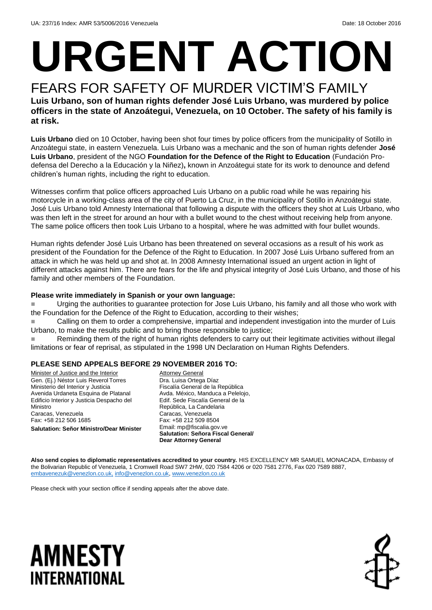# **URGENT ACTION**

#### FEARS FOR SAFETY OF MURDER VICTIM'S FAMILY **Luis Urbano, son of human rights defender José Luis Urbano, was murdered by police officers in the state of Anzoátegui, Venezuela, on 10 October. The safety of his family is at risk.**

**Luis Urbano** died on 10 October, having been shot four times by police officers from the municipality of Sotillo in Anzoátegui state, in eastern Venezuela. Luis Urbano was a mechanic and the son of human rights defender **José Luis Urbano**, president of the NGO **Foundation for the Defence of the Right to Education** (Fundación Prodefensa del Derecho a la Educación y la Niñez)**,** known in Anzoátegui state for its work to denounce and defend children's human rights, including the right to education.

Witnesses confirm that police officers approached Luis Urbano on a public road while he was repairing his motorcycle in a working-class area of the city of Puerto La Cruz, in the municipality of Sotillo in Anzoátegui state. José Luis Urbano told Amnesty International that following a dispute with the officers they shot at Luis Urbano, who was then left in the street for around an hour with a bullet wound to the chest without receiving help from anyone. The same police officers then took Luis Urbano to a hospital, where he was admitted with four bullet wounds.

Human rights defender José Luis Urbano has been threatened on several occasions as a result of his work as president of the Foundation for the Defence of the Right to Education. In 2007 José Luis Urbano suffered from an attack in which he was held up and shot at. In 2008 Amnesty International issued an urgent action in light of different attacks against him. There are fears for the life and physical integrity of José Luis Urbano, and those of his family and other members of the Foundation.

#### **Please write immediately in Spanish or your own language:**

 Urging the authorities to guarantee protection for Jose Luis Urbano, his family and all those who work with the Foundation for the Defence of the Right to Education, according to their wishes;

 Calling on them to order a comprehensive, impartial and independent investigation into the murder of Luis Urbano, to make the results public and to bring those responsible to justice;

Reminding them of the right of human rights defenders to carry out their legitimate activities without illegal limitations or fear of reprisal, as stipulated in the 1998 UN Declaration on Human Rights Defenders.

#### **PLEASE SEND APPEALS BEFORE 29 NOVEMBER 2016 TO:**

Minister of Justice and the Interior Gen. (Ej.) Néstor Luis ReverolTorres Ministerio del Interior y Justicia Avenida Urdaneta Esquina de Platanal Edificio Interior y Justicia Despacho del Ministro Caracas, Venezuela Fax: +58 212 506 1685 **Salutation: Señor Ministro/Dear Minister**

**Attorney General** Dra. Luisa Ortega Díaz Fiscalía General de la República Avda. México, Manduca a Pelelojo, Edif. Sede Fiscalía General de la República, La Candelaria Caracas, Venezuela Fax: +58 212 509 8504 Email: mp@fiscalia.gov.ve **Salutation: Señora Fiscal General/ Dear Attorney General**

**Also send copies to diplomatic representatives accredited to your country.** HIS EXCELLENCY MR SAMUEL MONACADA, Embassy of the Bolivarian Republic of Venezuela, 1 Cromwell Road SW7 2HW, 020 7584 4206 or 020 7581 2776, Fax 020 7589 8887, [embavenezuk@venezlon.co.uk,](mailto:embavenezuk@venezlon.co.uk) [info@venezlon.co.uk,](mailto:info@venezlon.co.uk) [www.venezlon.co.uk](http://www.venezlon.co.uk/)

Please check with your section office if sending appeals after the above date.